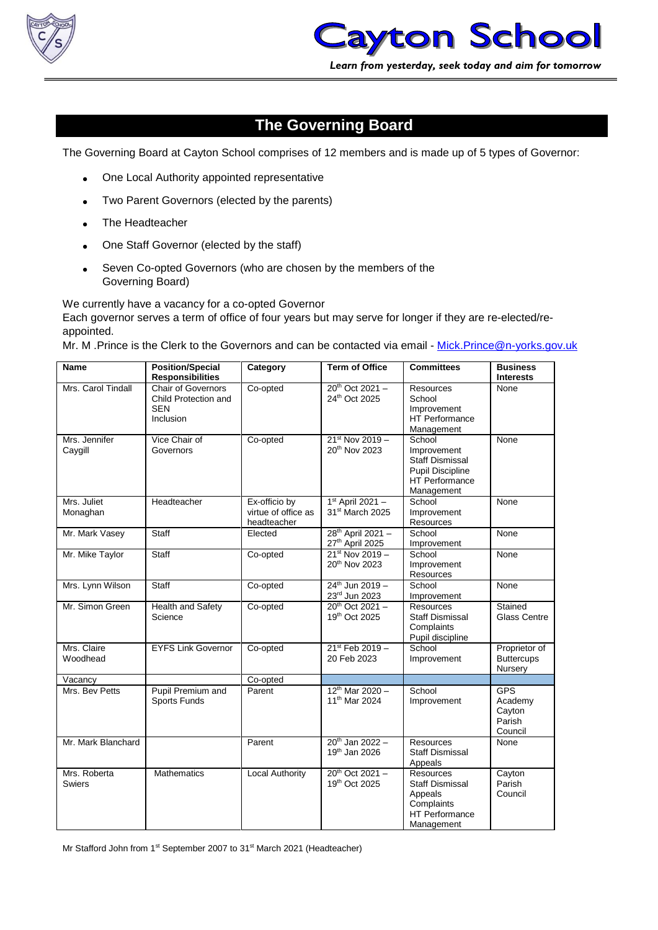



## **The Governing Board**

The Governing Board at Cayton School comprises of 12 members and is made up of 5 types of Governor:

- One Local Authority appointed representative
- Two Parent Governors (elected by the parents)
- The Headteacher
- One Staff Governor (elected by the staff)
- Seven Co-opted Governors (who are chosen by the members of the Governing Board)

We currently have a vacancy for a co-opted Governor Each governor serves a term of office of four years but may serve for longer if they are re-elected/reappointed.

Mr. M .Prince is the Clerk to the Governors and can be contacted via email - [Mick.Prince@n-yorks.gov.uk](mailto:Mick.Prince@n-yorks.gov.uk)

| Name                     | <b>Position/Special</b><br><b>Responsibilities</b>                           | Category                                            | <b>Term of Office</b>                                    | <b>Committees</b>                                                                                          | <b>Business</b><br><b>Interests</b>                  |
|--------------------------|------------------------------------------------------------------------------|-----------------------------------------------------|----------------------------------------------------------|------------------------------------------------------------------------------------------------------------|------------------------------------------------------|
| Mrs. Carol Tindall       | <b>Chair of Governors</b><br>Child Protection and<br><b>SEN</b><br>Inclusion | Co-opted                                            | $20^{th}$ Oct 2021 -<br>24th Oct 2025                    | <b>Resources</b><br>School<br>Improvement<br>HT Performance<br>Management                                  | None                                                 |
| Mrs. Jennifer<br>Caygill | Vice Chair of<br>Governors                                                   | Co-opted                                            | $21^{st}$ Nov 2019 -<br>20th Nov 2023                    | School<br>Improvement<br><b>Staff Dismissal</b><br><b>Pupil Discipline</b><br>HT Performance<br>Management | None                                                 |
| Mrs. Juliet<br>Monaghan  | Headteacher                                                                  | Ex-officio by<br>virtue of office as<br>headteacher | $1st$ April 2021 -<br>31 <sup>st</sup> March 2025        | School<br>Improvement<br>Resources                                                                         | None                                                 |
| Mr. Mark Vasey           | <b>Staff</b>                                                                 | Elected                                             | 28 <sup>th</sup> April 2021 -<br>27th April 2025         | School<br>Improvement                                                                                      | None                                                 |
| Mr. Mike Taylor          | Staff                                                                        | Co-opted                                            | $21^{st}$ Nov 2019 -<br>20 <sup>th</sup> Nov 2023        | School<br>Improvement<br><b>Resources</b>                                                                  | None                                                 |
| Mrs. Lynn Wilson         | Staff                                                                        | Co-opted                                            | $24^{th}$ Jun 2019 -<br>23rd Jun 2023                    | School<br>Improvement                                                                                      | None                                                 |
| Mr. Simon Green          | Health and Safety<br>Science                                                 | Co-opted                                            | 20 <sup>th</sup> Oct 2021-<br>19th Oct 2025              | <b>Resources</b><br><b>Staff Dismissal</b><br>Complaints<br>Pupil discipline                               | Stained<br><b>Glass Centre</b>                       |
| Mrs. Claire<br>Woodhead  | <b>EYFS Link Governor</b>                                                    | Co-opted                                            | 21st Feb 2019 -<br>20 Feb 2023                           | School<br>Improvement                                                                                      | Proprietor of<br><b>Buttercups</b><br>Nursery        |
| Vacancy                  |                                                                              | Co-opted                                            |                                                          |                                                                                                            |                                                      |
| Mrs. Bev Petts           | Pupil Premium and<br>Sports Funds                                            | Parent                                              | $12^{th}$ Mar 2020 -<br>11 <sup>th</sup> Mar 2024        | School<br>Improvement                                                                                      | <b>GPS</b><br>Academy<br>Cayton<br>Parish<br>Council |
| Mr. Mark Blanchard       |                                                                              | Parent                                              | 20 <sup>th</sup> Jan 2022 -<br>19 <sup>th</sup> Jan 2026 | <b>Resources</b><br><b>Staff Dismissal</b><br>Appeals                                                      | None                                                 |
| Mrs. Roberta<br>Swiers   | <b>Mathematics</b>                                                           | <b>Local Authority</b>                              | $20^{th}$ Oct 2021 -<br>19th Oct 2025                    | <b>Resources</b><br><b>Staff Dismissal</b><br>Appeals<br>Complaints<br><b>HT Performance</b><br>Management | Cayton<br>Parish<br>Council                          |

Mr Stafford John from 1<sup>st</sup> September 2007 to 31<sup>st</sup> March 2021 (Headteacher)